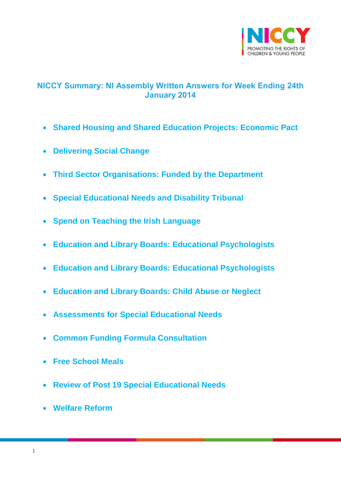

# <span id="page-0-0"></span>**NICCY Summary: NI Assembly Written Answers for Week Ending 24th January 2014**

- **[Shared Housing and Shared Education Projects: Economic Pact](#page-2-0)**
- **[Delivering Social Change](#page-2-1)**
- **[Third Sector Organisations: Funded by the Department](#page-4-0)**
- **[Special Educational Needs and Disability Tribunal](#page-5-0)**
- **[Spend on Teaching the Irish Language](#page-6-0)**
- **[Education and Library Boards: Educational Psychologists](#page-6-1)**
- **[Education and Library Boards: Educational Psychologists](#page-7-0)**
- **[Education and Library Boards: Child Abuse or Neglect](#page-8-0)**
- **[Assessments for Special Educational Needs](#page-8-1)**
- **[Common Funding Formula Consultation](#page-9-0)**
- **[Free School Meals](#page-9-1)**
- **[Review of Post 19 Special Educational Needs](#page-10-0)**
- **[Welfare Reform](#page-12-0)**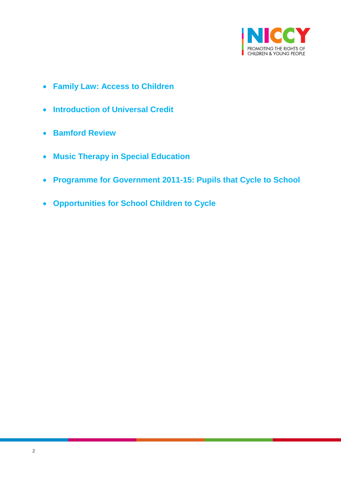

- **[Family Law: Access to Children](#page-13-0)**
- **[Introduction of Universal Credit](#page-13-1)**
- **[Bamford Review](#page-14-0)**
- **[Music Therapy in Special Education](#page-14-1)**
- **[Programme for Government 2011-15: Pupils that Cycle to School](#page-15-0)**
- **[Opportunities for School Children to Cycle](#page-16-0)**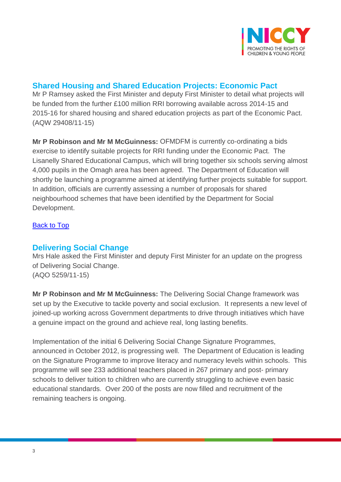

# **Shared Housing and Shared Education Projects: Economic Pact**

<span id="page-2-0"></span>Mr P Ramsey asked the First Minister and deputy First Minister to detail what projects will be funded from the further £100 million RRI borrowing available across 2014-15 and 2015-16 for shared housing and shared education projects as part of the Economic Pact. (AQW 29408/11-15)

**Mr P Robinson and Mr M McGuinness:** OFMDFM is currently co-ordinating a bids exercise to identify suitable projects for RRI funding under the Economic Pact. The Lisanelly Shared Educational Campus, which will bring together six schools serving almost 4,000 pupils in the Omagh area has been agreed. The Department of Education will shortly be launching a programme aimed at identifying further projects suitable for support. In addition, officials are currently assessing a number of proposals for shared neighbourhood schemes that have been identified by the Department for Social Development.

### [Back to Top](#page-0-0)

## <span id="page-2-1"></span>**Delivering Social Change**

Mrs Hale asked the First Minister and deputy First Minister for an update on the progress of Delivering Social Change. (AQO 5259/11-15)

**Mr P Robinson and Mr M McGuinness:** The Delivering Social Change framework was set up by the Executive to tackle poverty and social exclusion. It represents a new level of joined-up working across Government departments to drive through initiatives which have a genuine impact on the ground and achieve real, long lasting benefits.

Implementation of the initial 6 Delivering Social Change Signature Programmes, announced in October 2012, is progressing well. The Department of Education is leading on the Signature Programme to improve literacy and numeracy levels within schools. This programme will see 233 additional teachers placed in 267 primary and post- primary schools to deliver tuition to children who are currently struggling to achieve even basic educational standards. Over 200 of the posts are now filled and recruitment of the remaining teachers is ongoing.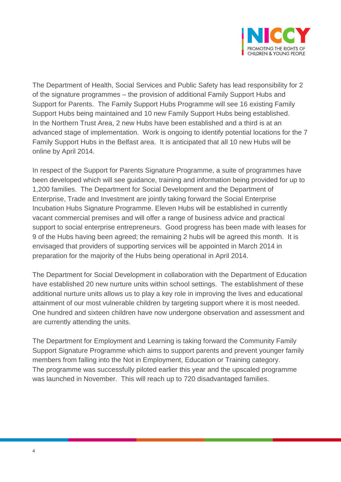

The Department of Health, Social Services and Public Safety has lead responsibility for 2 of the signature programmes – the provision of additional Family Support Hubs and Support for Parents. The Family Support Hubs Programme will see 16 existing Family Support Hubs being maintained and 10 new Family Support Hubs being established. In the Northern Trust Area, 2 new Hubs have been established and a third is at an advanced stage of implementation. Work is ongoing to identify potential locations for the 7 Family Support Hubs in the Belfast area. It is anticipated that all 10 new Hubs will be online by April 2014.

In respect of the Support for Parents Signature Programme, a suite of programmes have been developed which will see guidance, training and information being provided for up to 1,200 families. The Department for Social Development and the Department of Enterprise, Trade and Investment are jointly taking forward the Social Enterprise Incubation Hubs Signature Programme. Eleven Hubs will be established in currently vacant commercial premises and will offer a range of business advice and practical support to social enterprise entrepreneurs. Good progress has been made with leases for 9 of the Hubs having been agreed; the remaining 2 hubs will be agreed this month. It is envisaged that providers of supporting services will be appointed in March 2014 in preparation for the majority of the Hubs being operational in April 2014.

The Department for Social Development in collaboration with the Department of Education have established 20 new nurture units within school settings. The establishment of these additional nurture units allows us to play a key role in improving the lives and educational attainment of our most vulnerable children by targeting support where it is most needed. One hundred and sixteen children have now undergone observation and assessment and are currently attending the units.

The Department for Employment and Learning is taking forward the Community Family Support Signature Programme which aims to support parents and prevent younger family members from falling into the Not in Employment, Education or Training category. The programme was successfully piloted earlier this year and the upscaled programme was launched in November. This will reach up to 720 disadvantaged families.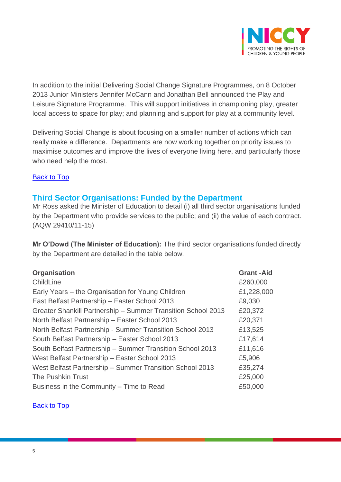

In addition to the initial Delivering Social Change Signature Programmes, on 8 October 2013 Junior Ministers Jennifer McCann and Jonathan Bell announced the Play and Leisure Signature Programme. This will support initiatives in championing play, greater local access to space for play; and planning and support for play at a community level.

Delivering Social Change is about focusing on a smaller number of actions which can really make a difference. Departments are now working together on priority issues to maximise outcomes and improve the lives of everyone living here, and particularly those who need help the most.

#### **[Back to Top](#page-0-0)**

### <span id="page-4-0"></span>**Third Sector Organisations: Funded by the Department**

Mr Ross asked the Minister of Education to detail (i) all third sector organisations funded by the Department who provide services to the public; and (ii) the value of each contract. (AQW 29410/11-15)

**Mr O'Dowd (The Minister of Education):** The third sector organisations funded directly by the Department are detailed in the table below.

| Organisation                                                 | <b>Grant-Aid</b> |
|--------------------------------------------------------------|------------------|
| ChildLine                                                    | £260,000         |
| Early Years – the Organisation for Young Children            | £1,228,000       |
| East Belfast Partnership - Easter School 2013                | £9,030           |
| Greater Shankill Partnership - Summer Transition School 2013 | £20,372          |
| North Belfast Partnership - Easter School 2013               | £20,371          |
| North Belfast Partnership - Summer Transition School 2013    | £13,525          |
| South Belfast Partnership - Easter School 2013               | £17,614          |
| South Belfast Partnership - Summer Transition School 2013    | £11,616          |
| West Belfast Partnership - Easter School 2013                | £5,906           |
| West Belfast Partnership - Summer Transition School 2013     | £35,274          |
| <b>The Pushkin Trust</b>                                     | £25,000          |
| Business in the Community – Time to Read                     | £50,000          |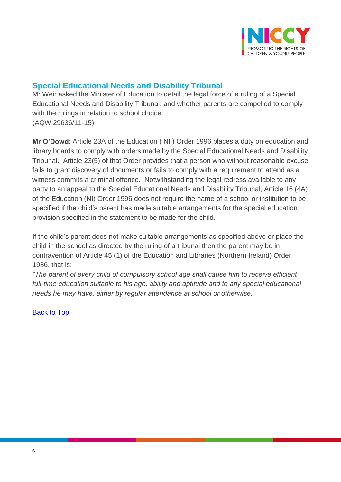

# <span id="page-5-0"></span>**Special Educational Needs and Disability Tribunal**

Mr Weir asked the Minister of Education to detail the legal force of a ruling of a Special Educational Needs and Disability Tribunal; and whether parents are compelled to comply with the rulings in relation to school choice. (AQW 29636/11-15)

**Mr O'Dowd**: Article 23A of the Education ( NI ) Order 1996 places a duty on education and library boards to comply with orders made by the Special Educational Needs and Disability Tribunal. Article 23(5) of that Order provides that a person who without reasonable excuse fails to grant discovery of documents or fails to comply with a requirement to attend as a witness commits a criminal offence. Notwithstanding the legal redress available to any party to an appeal to the Special Educational Needs and Disability Tribunal, Article 16 (4A) of the Education (NI) Order 1996 does not require the name of a school or institution to be specified if the child's parent has made suitable arrangements for the special education provision specified in the statement to be made for the child.

If the child's parent does not make suitable arrangements as specified above or place the child in the school as directed by the ruling of a tribunal then the parent may be in contravention of Article 45 (1) of the Education and Libraries (Northern Ireland) Order 1986, that is:

*"The parent of every child of compulsory school age shall cause him to receive efficient full-time education suitable to his age, ability and aptitude and to any special educational needs he may have, either by regular attendance at school or otherwise."*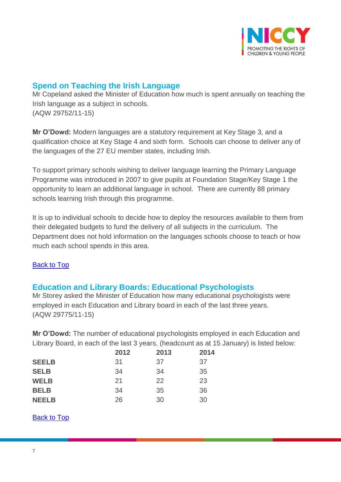

## <span id="page-6-0"></span>**Spend on Teaching the Irish Language**

Mr Copeland asked the Minister of Education how much is spent annually on teaching the Irish language as a subject in schools. (AQW 29752/11-15)

**Mr O'Dowd:** Modern languages are a statutory requirement at Key Stage 3, and a qualification choice at Key Stage 4 and sixth form. Schools can choose to deliver any of the languages of the 27 EU member states, including Irish.

To support primary schools wishing to deliver language learning the Primary Language Programme was introduced in 2007 to give pupils at Foundation Stage/Key Stage 1 the opportunity to learn an additional language in school. There are currently 88 primary schools learning Irish through this programme.

It is up to individual schools to decide how to deploy the resources available to them from their delegated budgets to fund the delivery of all subjects in the curriculum. The Department does not hold information on the languages schools choose to teach or how much each school spends in this area.

### [Back to Top](#page-0-0)

## <span id="page-6-1"></span>**Education and Library Boards: Educational Psychologists**

Mr Storey asked the Minister of Education how many educational psychologists were employed in each Education and Library board in each of the last three years. (AQW 29775/11-15)

**Mr O'Dowd:** The number of educational psychologists employed in each Education and Library Board, in each of the last 3 years, (headcount as at 15 January) is listed below:

|              | 2012 | 2013 | 2014 |
|--------------|------|------|------|
| <b>SEELB</b> | 31   | 37   | 37   |
| <b>SELB</b>  | 34   | 34   | 35   |
| <b>WELB</b>  | 21   | 22   | 23   |
| <b>BELB</b>  | 34   | 35   | 36   |
| <b>NEELB</b> | 26   | 30   | 30   |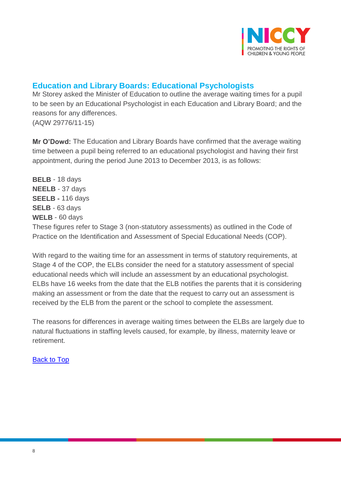

## <span id="page-7-0"></span>**Education and Library Boards: Educational Psychologists**

Mr Storey asked the Minister of Education to outline the average waiting times for a pupil to be seen by an Educational Psychologist in each Education and Library Board; and the reasons for any differences. (AQW 29776/11-15)

**Mr O'Dowd:** The Education and Library Boards have confirmed that the average waiting time between a pupil being referred to an educational psychologist and having their first appointment, during the period June 2013 to December 2013, is as follows:

**BELB** - 18 days **NEELB** - 37 days **SEELB -** 116 days **SELB** - 63 days **WELB** - 60 days These figures refer to Stage 3 (non-statutory assessments) as outlined in the Code of Practice on the Identification and Assessment of Special Educational Needs (COP).

With regard to the waiting time for an assessment in terms of statutory requirements, at Stage 4 of the COP, the ELBs consider the need for a statutory assessment of special educational needs which will include an assessment by an educational psychologist. ELBs have 16 weeks from the date that the ELB notifies the parents that it is considering making an assessment or from the date that the request to carry out an assessment is received by the ELB from the parent or the school to complete the assessment.

The reasons for differences in average waiting times between the ELBs are largely due to natural fluctuations in staffing levels caused, for example, by illness, maternity leave or retirement.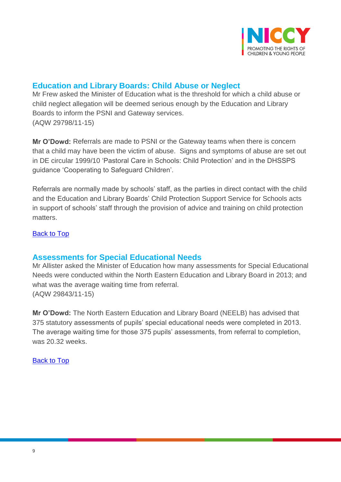

## <span id="page-8-0"></span>**Education and Library Boards: Child Abuse or Neglect**

Mr Frew asked the Minister of Education what is the threshold for which a child abuse or child neglect allegation will be deemed serious enough by the Education and Library Boards to inform the PSNI and Gateway services. (AQW 29798/11-15)

**Mr O'Dowd:** Referrals are made to PSNI or the Gateway teams when there is concern that a child may have been the victim of abuse. Signs and symptoms of abuse are set out in DE circular 1999/10 'Pastoral Care in Schools: Child Protection' and in the DHSSPS guidance 'Cooperating to Safeguard Children'.

Referrals are normally made by schools' staff, as the parties in direct contact with the child and the Education and Library Boards' Child Protection Support Service for Schools acts in support of schools' staff through the provision of advice and training on child protection matters.

#### <span id="page-8-1"></span>[Back to Top](#page-0-0)

### **Assessments for Special Educational Needs**

Mr Allister asked the Minister of Education how many assessments for Special Educational Needs were conducted within the North Eastern Education and Library Board in 2013; and what was the average waiting time from referral. (AQW 29843/11-15)

**Mr O'Dowd:** The North Eastern Education and Library Board (NEELB) has advised that 375 statutory assessments of pupils' special educational needs were completed in 2013. The average waiting time for those 375 pupils' assessments, from referral to completion, was 20.32 weeks.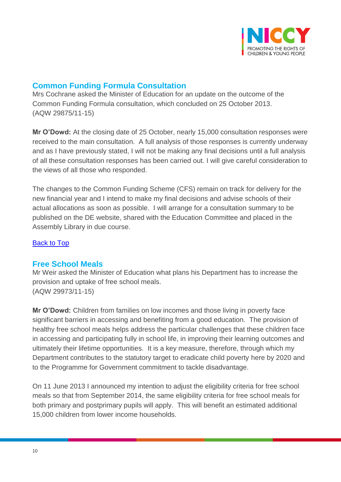

## <span id="page-9-0"></span>**Common Funding Formula Consultation**

Mrs Cochrane asked the Minister of Education for an update on the outcome of the Common Funding Formula consultation, which concluded on 25 October 2013. (AQW 29875/11-15)

**Mr O'Dowd:** At the closing date of 25 October, nearly 15,000 consultation responses were received to the main consultation. A full analysis of those responses is currently underway and as I have previously stated, I will not be making any final decisions until a full analysis of all these consultation responses has been carried out. I will give careful consideration to the views of all those who responded.

The changes to the Common Funding Scheme (CFS) remain on track for delivery for the new financial year and I intend to make my final decisions and advise schools of their actual allocations as soon as possible. I will arrange for a consultation summary to be published on the DE website, shared with the Education Committee and placed in the Assembly Library in due course.

[Back to Top](#page-0-0)

### <span id="page-9-1"></span>**Free School Meals**

Mr Weir asked the Minister of Education what plans his Department has to increase the provision and uptake of free school meals. (AQW 29973/11-15)

**Mr O'Dowd:** Children from families on low incomes and those living in poverty face significant barriers in accessing and benefiting from a good education. The provision of healthy free school meals helps address the particular challenges that these children face in accessing and participating fully in school life, in improving their learning outcomes and ultimately their lifetime opportunities. It is a key measure, therefore, through which my Department contributes to the statutory target to eradicate child poverty here by 2020 and to the Programme for Government commitment to tackle disadvantage.

On 11 June 2013 I announced my intention to adjust the eligibility criteria for free school meals so that from September 2014, the same eligibility criteria for free school meals for both primary and postprimary pupils will apply. This will benefit an estimated additional 15,000 children from lower income households.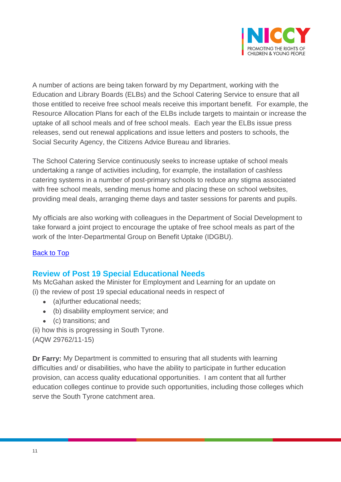

A number of actions are being taken forward by my Department, working with the Education and Library Boards (ELBs) and the School Catering Service to ensure that all those entitled to receive free school meals receive this important benefit. For example, the Resource Allocation Plans for each of the ELBs include targets to maintain or increase the uptake of all school meals and of free school meals. Each year the ELBs issue press releases, send out renewal applications and issue letters and posters to schools, the Social Security Agency, the Citizens Advice Bureau and libraries.

The School Catering Service continuously seeks to increase uptake of school meals undertaking a range of activities including, for example, the installation of cashless catering systems in a number of post-primary schools to reduce any stigma associated with free school meals, sending menus home and placing these on school websites, providing meal deals, arranging theme days and taster sessions for parents and pupils.

My officials are also working with colleagues in the Department of Social Development to take forward a joint project to encourage the uptake of free school meals as part of the work of the Inter-Departmental Group on Benefit Uptake (IDGBU).

### [Back to Top](#page-0-0)

## <span id="page-10-0"></span>**Review of Post 19 Special Educational Needs**

Ms McGahan asked the Minister for Employment and Learning for an update on (i) the review of post 19 special educational needs in respect of

- (a)further educational needs;
- (b) disability employment service; and
- (c) transitions; and

(ii) how this is progressing in South Tyrone. (AQW 29762/11-15)

**Dr Farry:** My Department is committed to ensuring that all students with learning difficulties and/ or disabilities, who have the ability to participate in further education provision, can access quality educational opportunities. I am content that all further education colleges continue to provide such opportunities, including those colleges which serve the South Tyrone catchment area.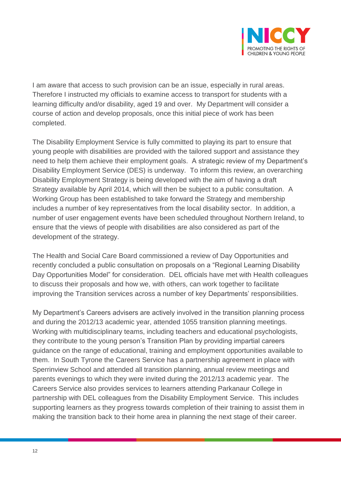

I am aware that access to such provision can be an issue, especially in rural areas. Therefore I instructed my officials to examine access to transport for students with a learning difficulty and/or disability, aged 19 and over. My Department will consider a course of action and develop proposals, once this initial piece of work has been completed.

The Disability Employment Service is fully committed to playing its part to ensure that young people with disabilities are provided with the tailored support and assistance they need to help them achieve their employment goals. A strategic review of my Department's Disability Employment Service (DES) is underway. To inform this review, an overarching Disability Employment Strategy is being developed with the aim of having a draft Strategy available by April 2014, which will then be subject to a public consultation. A Working Group has been established to take forward the Strategy and membership includes a number of key representatives from the local disability sector. In addition, a number of user engagement events have been scheduled throughout Northern Ireland, to ensure that the views of people with disabilities are also considered as part of the development of the strategy.

The Health and Social Care Board commissioned a review of Day Opportunities and recently concluded a public consultation on proposals on a "Regional Learning Disability Day Opportunities Model" for consideration. DEL officials have met with Health colleagues to discuss their proposals and how we, with others, can work together to facilitate improving the Transition services across a number of key Departments' responsibilities.

My Department's Careers advisers are actively involved in the transition planning process and during the 2012/13 academic year, attended 1055 transition planning meetings. Working with multidisciplinary teams, including teachers and educational psychologists, they contribute to the young person's Transition Plan by providing impartial careers guidance on the range of educational, training and employment opportunities available to them. In South Tyrone the Careers Service has a partnership agreement in place with Sperrinview School and attended all transition planning, annual review meetings and parents evenings to which they were invited during the 2012/13 academic year. The Careers Service also provides services to learners attending Parkanaur College in partnership with DEL colleagues from the Disability Employment Service. This includes supporting learners as they progress towards completion of their training to assist them in making the transition back to their home area in planning the next stage of their career.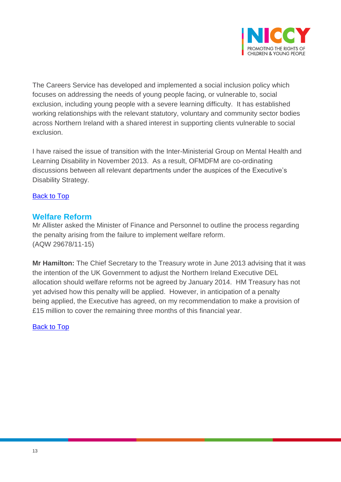

The Careers Service has developed and implemented a social inclusion policy which focuses on addressing the needs of young people facing, or vulnerable to, social exclusion, including young people with a severe learning difficulty. It has established working relationships with the relevant statutory, voluntary and community sector bodies across Northern Ireland with a shared interest in supporting clients vulnerable to social exclusion.

I have raised the issue of transition with the Inter-Ministerial Group on Mental Health and Learning Disability in November 2013. As a result, OFMDFM are co-ordinating discussions between all relevant departments under the auspices of the Executive's Disability Strategy.

### [Back to Top](#page-0-0)

### <span id="page-12-0"></span>**Welfare Reform**

Mr Allister asked the Minister of Finance and Personnel to outline the process regarding the penalty arising from the failure to implement welfare reform. (AQW 29678/11-15)

**Mr Hamilton:** The Chief Secretary to the Treasury wrote in June 2013 advising that it was the intention of the UK Government to adjust the Northern Ireland Executive DEL allocation should welfare reforms not be agreed by January 2014. HM Treasury has not yet advised how this penalty will be applied. However, in anticipation of a penalty being applied, the Executive has agreed, on my recommendation to make a provision of £15 million to cover the remaining three months of this financial year.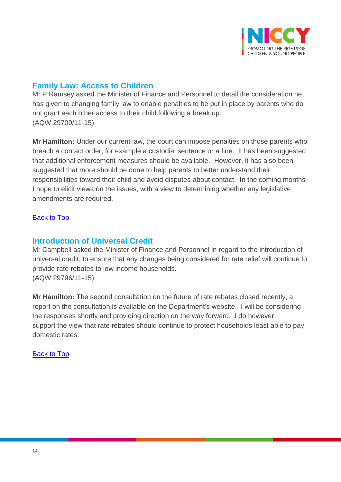

## <span id="page-13-0"></span>**Family Law: Access to Children**

Mr P Ramsey asked the Minister of Finance and Personnel to detail the consideration he has given to changing family law to enable penalties to be put in place by parents who do not grant each other access to their child following a break up. (AQW 29709/11-15)

**Mr Hamilton:** Under our current law, the court can impose penalties on those parents who breach a contact order, for example a custodial sentence or a fine. It has been suggested that additional enforcement measures should be available. However, it has also been suggested that more should be done to help parents to better understand their responsibilities toward their child and avoid disputes about contact. In the coming months I hope to elicit views on the issues, with a view to determining whether any legislative amendments are required.

### <span id="page-13-1"></span>[Back to Top](#page-0-0)

### **Introduction of Universal Credit**

Mr Campbell asked the Minister of Finance and Personnel in regard to the introduction of universal credit, to ensure that any changes being considered for rate relief will continue to provide rate rebates to low income households. (AQW 29796/11-15)

**Mr Hamilton:** The second consultation on the future of rate rebates closed recently, a report on the consultation is available on the Department's website. I will be considering the responses shortly and providing direction on the way forward. I do however support the view that rate rebates should continue to protect households least able to pay domestic rates.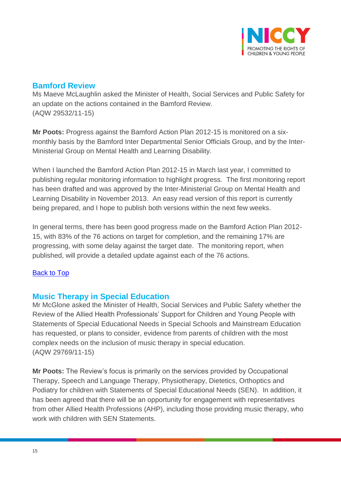

## <span id="page-14-0"></span>**Bamford Review**

Ms Maeve McLaughlin asked the Minister of Health, Social Services and Public Safety for an update on the actions contained in the Bamford Review. (AQW 29532/11-15)

**Mr Poots:** Progress against the Bamford Action Plan 2012-15 is monitored on a sixmonthly basis by the Bamford Inter Departmental Senior Officials Group, and by the Inter-Ministerial Group on Mental Health and Learning Disability.

When I launched the Bamford Action Plan 2012-15 in March last year, I committed to publishing regular monitoring information to highlight progress. The first monitoring report has been drafted and was approved by the Inter-Ministerial Group on Mental Health and Learning Disability in November 2013. An easy read version of this report is currently being prepared, and I hope to publish both versions within the next few weeks.

In general terms, there has been good progress made on the Bamford Action Plan 2012- 15, with 83% of the 76 actions on target for completion, and the remaining 17% are progressing, with some delay against the target date. The monitoring report, when published, will provide a detailed update against each of the 76 actions.

### <span id="page-14-1"></span>[Back to Top](#page-0-0)

## **Music Therapy in Special Education**

Mr McGlone asked the Minister of Health, Social Services and Public Safety whether the Review of the Allied Health Professionals' Support for Children and Young People with Statements of Special Educational Needs in Special Schools and Mainstream Education has requested, or plans to consider, evidence from parents of children with the most complex needs on the inclusion of music therapy in special education. (AQW 29769/11-15)

**Mr Poots:** The Review's focus is primarily on the services provided by Occupational Therapy, Speech and Language Therapy, Physiotherapy, Dietetics, Orthoptics and Podiatry for children with Statements of Special Educational Needs (SEN). In addition, it has been agreed that there will be an opportunity for engagement with representatives from other Allied Health Professions (AHP), including those providing music therapy, who work with children with SEN Statements.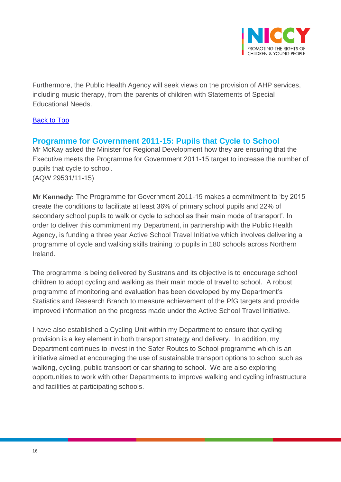

Furthermore, the Public Health Agency will seek views on the provision of AHP services, including music therapy, from the parents of children with Statements of Special Educational Needs.

### [Back to Top](#page-0-0)

## <span id="page-15-0"></span>**Programme for Government 2011-15: Pupils that Cycle to School**

Mr McKay asked the Minister for Regional Development how they are ensuring that the Executive meets the Programme for Government 2011-15 target to increase the number of pupils that cycle to school. (AQW 29531/11-15)

**Mr Kennedy:** The Programme for Government 2011-15 makes a commitment to 'by 2015 create the conditions to facilitate at least 36% of primary school pupils and 22% of secondary school pupils to walk or cycle to school as their main mode of transport'. In order to deliver this commitment my Department, in partnership with the Public Health Agency, is funding a three year Active School Travel Initiative which involves delivering a programme of cycle and walking skills training to pupils in 180 schools across Northern Ireland.

The programme is being delivered by Sustrans and its objective is to encourage school children to adopt cycling and walking as their main mode of travel to school. A robust programme of monitoring and evaluation has been developed by my Department's Statistics and Research Branch to measure achievement of the PfG targets and provide improved information on the progress made under the Active School Travel Initiative.

I have also established a Cycling Unit within my Department to ensure that cycling provision is a key element in both transport strategy and delivery. In addition, my Department continues to invest in the Safer Routes to School programme which is an initiative aimed at encouraging the use of sustainable transport options to school such as walking, cycling, public transport or car sharing to school. We are also exploring opportunities to work with other Departments to improve walking and cycling infrastructure and facilities at participating schools.